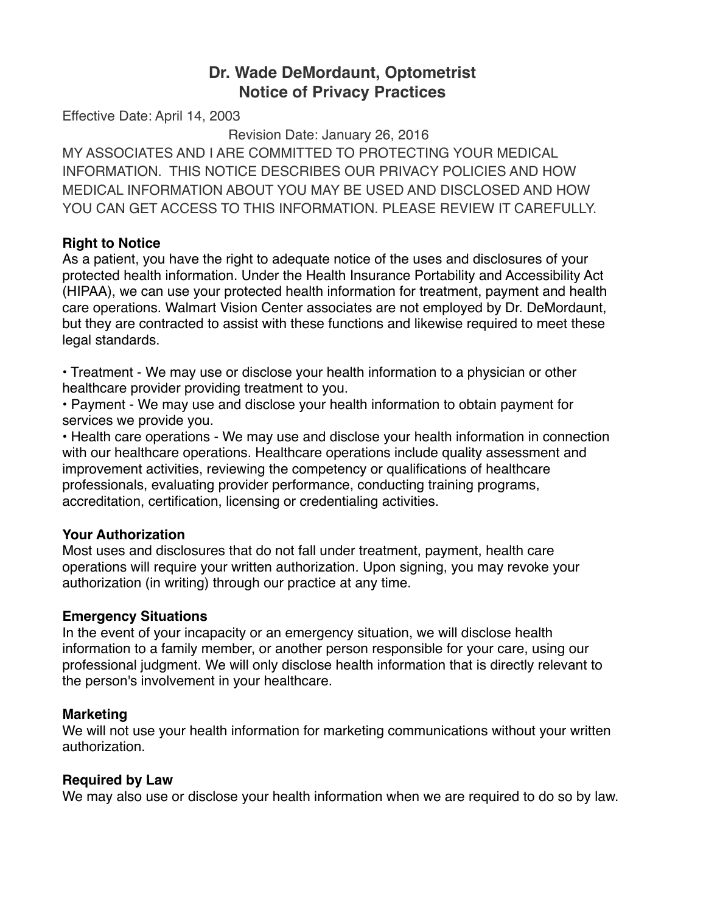# **Dr. Wade DeMordaunt, Optometrist Notice of Privacy Practices**

Effective Date: April 14, 2003

Revision Date: January 26, 2016

MY ASSOCIATES AND I ARE COMMITTED TO PROTECTING YOUR MEDICAL INFORMATION. THIS NOTICE DESCRIBES OUR PRIVACY POLICIES AND HOW MEDICAL INFORMATION ABOUT YOU MAY BE USED AND DISCLOSED AND HOW YOU CAN GET ACCESS TO THIS INFORMATION. PLEASE REVIEW IT CAREFULLY.

## **Right to Notice**

As a patient, you have the right to adequate notice of the uses and disclosures of your protected health information. Under the Health Insurance Portability and Accessibility Act (HIPAA), we can use your protected health information for treatment, payment and health care operations. Walmart Vision Center associates are not employed by Dr. DeMordaunt, but they are contracted to assist with these functions and likewise required to meet these legal standards.

• Treatment - We may use or disclose your health information to a physician or other healthcare provider providing treatment to you.

• Payment - We may use and disclose your health information to obtain payment for services we provide you.

• Health care operations - We may use and disclose your health information in connection with our healthcare operations. Healthcare operations include quality assessment and improvement activities, reviewing the competency or qualifications of healthcare professionals, evaluating provider performance, conducting training programs, accreditation, certification, licensing or credentialing activities.

# **Your Authorization**

Most uses and disclosures that do not fall under treatment, payment, health care operations will require your written authorization. Upon signing, you may revoke your authorization (in writing) through our practice at any time.

#### **Emergency Situations**

In the event of your incapacity or an emergency situation, we will disclose health information to a family member, or another person responsible for your care, using our professional judgment. We will only disclose health information that is directly relevant to the person's involvement in your healthcare.

#### **Marketing**

We will not use your health information for marketing communications without your written authorization.

# **Required by Law**

We may also use or disclose your health information when we are required to do so by law.